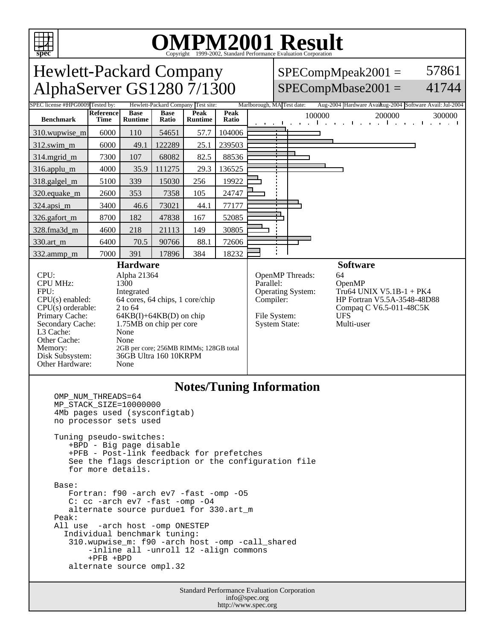

# OMPM2001 Result to Evaluation Corporation

Hewlett-Packard Company AlphaServer GS1280 7/1300

#### SPECompMpeak2001 =  $SPECompMbase2001 =$ 57861 41744

| $\sim$ $\sim$ $\sim$ $\sim$                                                                                                                                                                                                                                                                                              |                                                                                                                                                                                                                                      |                        |                      |                        |                                                                                                        |                            |  |                                                                                                                                |                                                                                                      |
|--------------------------------------------------------------------------------------------------------------------------------------------------------------------------------------------------------------------------------------------------------------------------------------------------------------------------|--------------------------------------------------------------------------------------------------------------------------------------------------------------------------------------------------------------------------------------|------------------------|----------------------|------------------------|--------------------------------------------------------------------------------------------------------|----------------------------|--|--------------------------------------------------------------------------------------------------------------------------------|------------------------------------------------------------------------------------------------------|
| SPEC license #HPG0009 Tested by:<br>Hewlett-Packard Company Test site:                                                                                                                                                                                                                                                   |                                                                                                                                                                                                                                      |                        |                      |                        |                                                                                                        | Marlborough, MA Test date: |  |                                                                                                                                | Aug-2004 Hardware Avaikug-2004 Software Avail: Jul-2004                                              |
| <b>Benchmark</b>                                                                                                                                                                                                                                                                                                         | <b>Reference</b><br><b>Time</b>                                                                                                                                                                                                      | <b>Base</b><br>Runtime | <b>Base</b><br>Ratio | Peak<br><b>Runtime</b> | Peak<br>Ratio                                                                                          | <b>Contract Contract</b>   |  | 100000                                                                                                                         | 200000<br>300000<br>and the property of the control of the con-<br><b>Contract Contract Contract</b> |
| 310.wupwise_m                                                                                                                                                                                                                                                                                                            | 6000                                                                                                                                                                                                                                 | 110                    | 54651                | 57.7                   | 104006                                                                                                 |                            |  |                                                                                                                                |                                                                                                      |
| 312.swim_m                                                                                                                                                                                                                                                                                                               | 6000                                                                                                                                                                                                                                 | 49.1                   | 122289               | 25.1                   | 239503                                                                                                 |                            |  |                                                                                                                                |                                                                                                      |
| 314.mgrid_m                                                                                                                                                                                                                                                                                                              | 7300                                                                                                                                                                                                                                 | 107                    | 68082                | 82.5                   | 88536                                                                                                  |                            |  |                                                                                                                                |                                                                                                      |
| 316.applu_m                                                                                                                                                                                                                                                                                                              | 4000                                                                                                                                                                                                                                 | 35.9                   | 111275               | 29.3                   | 136525                                                                                                 |                            |  |                                                                                                                                |                                                                                                      |
| 318.galgel_m                                                                                                                                                                                                                                                                                                             | 5100                                                                                                                                                                                                                                 | 339                    | 15030                | 256                    | 19922                                                                                                  |                            |  |                                                                                                                                |                                                                                                      |
| 320.equake_m                                                                                                                                                                                                                                                                                                             | 2600                                                                                                                                                                                                                                 | 353                    | 7358                 | 105                    | 24747                                                                                                  |                            |  |                                                                                                                                |                                                                                                      |
| 324.apsi_m                                                                                                                                                                                                                                                                                                               | 3400                                                                                                                                                                                                                                 | 46.6                   | 73021                | 44.1                   | 77177                                                                                                  |                            |  |                                                                                                                                |                                                                                                      |
| 326.gafort_m                                                                                                                                                                                                                                                                                                             | 8700                                                                                                                                                                                                                                 | 182                    | 47838                | 167                    | 52085                                                                                                  |                            |  |                                                                                                                                |                                                                                                      |
| 328.fma3d_m                                                                                                                                                                                                                                                                                                              | 4600                                                                                                                                                                                                                                 | 218                    | 21113                | 149                    | 30805                                                                                                  |                            |  |                                                                                                                                |                                                                                                      |
| 330.art_m                                                                                                                                                                                                                                                                                                                | 6400                                                                                                                                                                                                                                 | 70.5                   | 90766                | 88.1                   | 72606                                                                                                  |                            |  |                                                                                                                                |                                                                                                      |
| 332.ammp_m                                                                                                                                                                                                                                                                                                               | 7000                                                                                                                                                                                                                                 | 391                    | 17896                | 384                    | 18232                                                                                                  |                            |  |                                                                                                                                |                                                                                                      |
| CPU:<br><b>CPU MHz:</b><br>FPU:<br>$CPU(s)$ enabled:<br>$CPU(s)$ orderable:<br>Primary Cache:<br>Secondary Cache:<br>L3 Cache:<br>Other Cache:<br>Memory:<br>Disk Subsystem:<br>Other Hardware:                                                                                                                          | Alpha 21364<br>1300<br>Integrated<br>64 cores, 64 chips, 1 core/chip<br>2 to 64<br>$64KB(I) + 64KB(D)$ on chip<br>1.75MB on chip per core<br>None<br>None<br>2GB per core; 256MB RIMMs; 128GB total<br>36GB Ultra 160 10KRPM<br>None |                        |                      |                        | OpenMP Threads:<br>Parallel:<br>Operating System:<br>Compiler:<br>File System:<br><b>System State:</b> |                            |  | 64<br>OpenMP<br>Tru64 UNIX V5.1B-1 + PK4<br>HP Fortran V5.5A-3548-48D88<br>Compaq C V6.5-011-48C5K<br><b>UFS</b><br>Multi-user |                                                                                                      |
| <b>Notes/Tuning Information</b><br>OMP NUM THREADS=64<br>MP_STACK_SIZE=10000000<br>4Mb pages used (sysconfigtab)<br>no processor sets used<br>Tuning pseudo-switches:<br>+BPD - Big page disable<br>+PFB - Post-link feedback for prefetches<br>See the flags description or the configuration file<br>for more details. |                                                                                                                                                                                                                                      |                        |                      |                        |                                                                                                        |                            |  |                                                                                                                                |                                                                                                      |
| Base:<br>Fortran: f90 -arch ev7 -fast -omp -05<br>C: cc -arch ev7 -fast -omp -04<br>alternate source purduel for 330.art_m<br>Peak:<br>All use -arch host -omp ONESTEP<br>Individual benchmark tuning:<br>$210$ unput $22 \text{ m}$ ; $E(0)$ argh host                                                                  |                                                                                                                                                                                                                                      |                        |                      |                        |                                                                                                        |                            |  |                                                                                                                                |                                                                                                      |

 310.wupwise\_m: f90 -arch host -omp -call\_shared -inline all -unroll 12 -align commons +PFB +BPD

alternate source ompl.32

Standard Performance Evaluation Corporation info@spec.org http://www.spec.org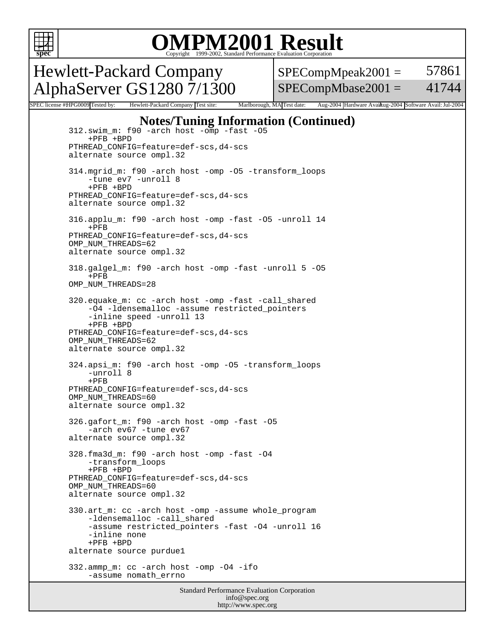

### OMPM2001 Result to Evaluation Corporation

Hewlett-Packard Company AlphaServer GS1280 7/1300  $SPECompMpeak2001 =$ SPECompMbase2001 = 57861 41744

SPEC license #HPG0009 Tested by: Hewlett-Packard Company Test site: Marlborough, MA Test date: Aug-2004 Hardware Avail: was 2004 Software Avail: Jul-2004

#### **Notes/Tuning Information (Continued)**

 312.swim\_m: f90 -arch host -omp -fast -O5 +PFB +BPD PTHREAD\_CONFIG=feature=def-scs,d4-scs alternate source ompl.32 314.mgrid\_m: f90 -arch host -omp -O5 -transform\_loops -tune ev7 -unroll 8 +PFB +BPD PTHREAD\_CONFIG=feature=def-scs,d4-scs alternate source ompl.32 316.applu\_m: f90 -arch host -omp -fast -O5 -unroll 14 +PFB PTHREAD\_CONFIG=feature=def-scs,d4-scs OMP\_NUM\_THREADS=62 alternate source ompl.32 318.galgel\_m: f90 -arch host -omp -fast -unroll 5 -O5 +PFB OMP\_NUM\_THREADS=28 320.equake\_m: cc -arch host -omp -fast -call\_shared -O4 -ldensemalloc -assume restricted\_pointers -inline speed -unroll 13 +PFB +BPD PTHREAD\_CONFIG=feature=def-scs,d4-scs OMP\_NUM\_THREADS=62 alternate source ompl.32 324.apsi\_m: f90 -arch host -omp -O5 -transform\_loops -unroll 8 +PFB PTHREAD\_CONFIG=feature=def-scs,d4-scs OMP\_NUM\_THREADS=60 alternate source ompl.32 326.gafort\_m: f90 -arch host -omp -fast -O5 -arch ev67 -tune ev67 alternate source ompl.32 328.fma3d\_m: f90 -arch host -omp -fast -O4 -transform\_loops +PFB +BPD PTHREAD\_CONFIG=feature=def-scs,d4-scs OMP\_NUM\_THREADS=60 alternate source ompl.32 330.art\_m: cc -arch host -omp -assume whole\_program -ldensemalloc -call\_shared -assume restricted pointers -fast -O4 -unroll 16 -inline none +PFB +BPD alternate source purdue1 332.ammp\_m: cc -arch host -omp -O4 -ifo -assume nomath\_errno

> Standard Performance Evaluation Corporation info@spec.org http://www.spec.org